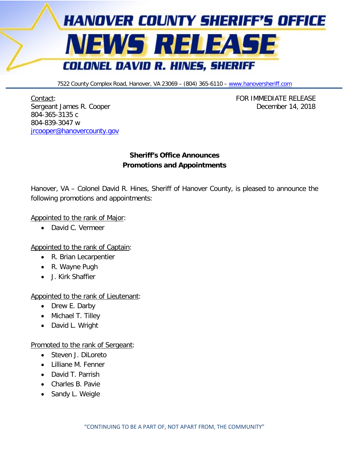

7522 County Complex Road, Hanover, VA 23069 - (804) 365-6110 - [www.hanoversheriff.com](http://www.hanoversheriff.com/)

Contact: FOR IMMEDIATE RELEASE Sergeant James R. Cooper **December 14, 2018** 804-365-3135 c 804-839-3047 w [jrcooper@hanovercounty.gov](mailto:jrcooper@hanovercounty.gov)

## **Sheriff's Office Announces Promotions and Appointments**

Hanover, VA – Colonel David R. Hines, Sheriff of Hanover County, is pleased to announce the following promotions and appointments:

## Appointed to the rank of Major:

• David C. Vermeer

Appointed to the rank of Captain:

- R. Brian Lecarpentier
- R. Wayne Pugh
- J. Kirk Shaffier

## Appointed to the rank of Lieutenant:

- Drew E. Darby
- Michael T. Tilley
- David L. Wright

## Promoted to the rank of Sergeant:

- Steven J. DiLoreto
- Lilliane M. Fenner
- David T. Parrish
- Charles B. Pavie
- Sandy L. Weigle